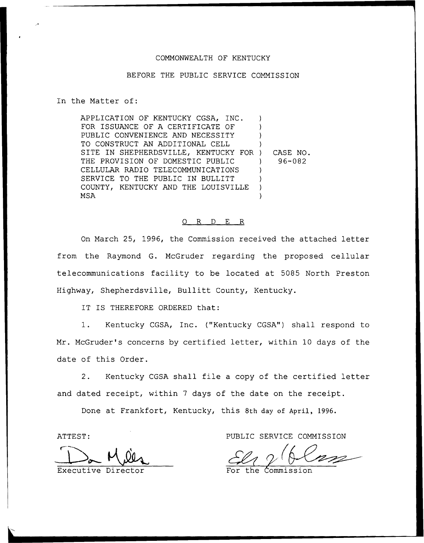#### COMMONWEALTH OF KENTUCKY

### BEFORE THE PUBLIC SERVICE COMMISSION

In the Matter of:

APPLICATION OF KENTUCKY CGSA, INC. FOR ISSUANCE OF A CERTIFICATE OF PUBLIC CONVENIENCE AND NECESSITY TO CONSTRUCT AN ADDITIONAL CELL SITE IN SHEPHERDSVILLE, KENTUCKY FOR ) THE PROVISION OF DOMESTIC PUBLIC CELLULAR RADIO TELECOMMUNICATIONS SERVICE TO THE PUBLIC IN BULLITT COUNTY, KENTUCKY AND THE LOUISVILLE MSA ) ) ) ) ) CASE NO. ) 96-082 ) ) ) )

### 0 R <sup>D</sup> E R

On March 25, 1996, the Commission received the attached letter from the Raymond G. McGruder regarding the proposed cellular telecommunications facility to be located at 5085 North Preston Highway, Shepherdsville, Bullitt County, Kentucky.

IT IS THEREFORE ORDERED that:

1. Kentucky CGSA, Inc. ("Kentucky CGSA") shall respond to Mr. McGruder's concerns by certified letter, within 10 days of the date of this Order.

2. Kentucky CGSA shall file <sup>a</sup> copy of the certified letter and dated receipt, within <sup>7</sup> days of the date on the receipt.

Done at Frankfort, Kentucky, this 8th day of April, 1996.

ATTEST:

 $\Box$ 

Executive Direc

PUBLIC SERVICE COMMISSION

For the Commissio